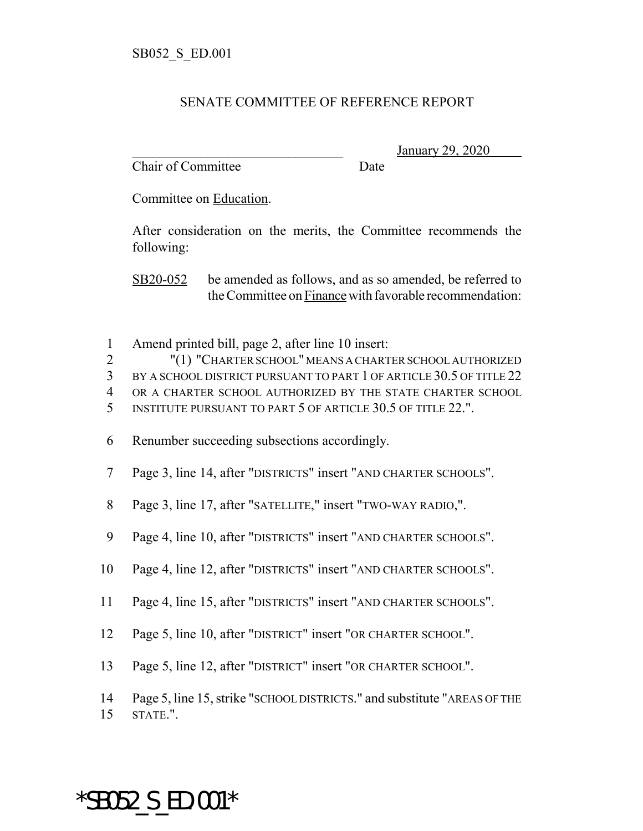## SENATE COMMITTEE OF REFERENCE REPORT

Chair of Committee Date

\_\_\_\_\_\_\_\_\_\_\_\_\_\_\_\_\_\_\_\_\_\_\_\_\_\_\_\_\_\_\_ January 29, 2020

Committee on Education.

After consideration on the merits, the Committee recommends the following:

SB20-052 be amended as follows, and as so amended, be referred to the Committee on Finance with favorable recommendation:

1 Amend printed bill, page 2, after line 10 insert:

2 "(1) "CHARTER SCHOOL" MEANS A CHARTER SCHOOL AUTHORIZED 3 BY A SCHOOL DISTRICT PURSUANT TO PART 1 OF ARTICLE 30.5 OF TITLE 22

4 OR A CHARTER SCHOOL AUTHORIZED BY THE STATE CHARTER SCHOOL

5 INSTITUTE PURSUANT TO PART 5 OF ARTICLE 30.5 OF TITLE 22.".

6 Renumber succeeding subsections accordingly.

- 7 Page 3, line 14, after "DISTRICTS" insert "AND CHARTER SCHOOLS".
- 8 Page 3, line 17, after "SATELLITE," insert "TWO-WAY RADIO,".
- 9 Page 4, line 10, after "DISTRICTS" insert "AND CHARTER SCHOOLS".
- 10 Page 4, line 12, after "DISTRICTS" insert "AND CHARTER SCHOOLS".
- 11 Page 4, line 15, after "DISTRICTS" insert "AND CHARTER SCHOOLS".
- 12 Page 5, line 10, after "DISTRICT" insert "OR CHARTER SCHOOL".
- 13 Page 5, line 12, after "DISTRICT" insert "OR CHARTER SCHOOL".
- 14 Page 5, line 15, strike "SCHOOL DISTRICTS." and substitute "AREAS OF THE
- 15 STATE.".

\*SB052\_S\_ED.001\*